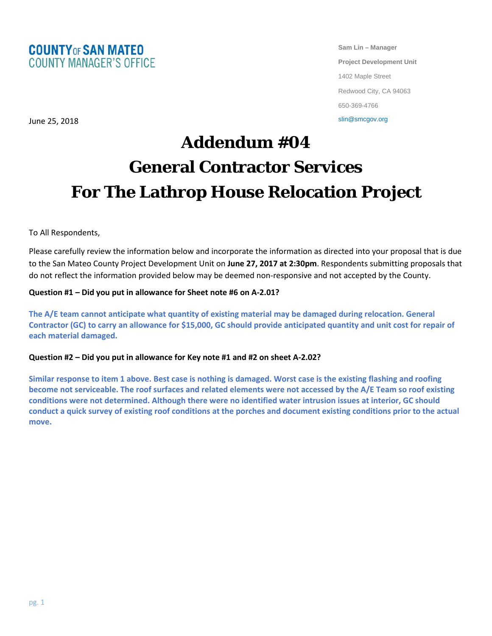

**Sam Lin – Manager Project Development Unit** 1402 Maple Street Redwood City, CA 94063 650-369-4766

slin@smcgov.org

## **Addendum #04 General Contractor Services For The Lathrop House Relocation Project**

To All Respondents,

June 25, 2018

Please carefully review the information below and incorporate the information as directed into your proposal that is due to the San Mateo County Project Development Unit on **June 27, 2017 at 2:30pm**. Respondents submitting proposals that do not reflect the information provided below may be deemed non-responsive and not accepted by the County.

## **Question #1 – Did you put in allowance for Sheet note #6 on A-2.01?**

**The A/E team cannot anticipate what quantity of existing material may be damaged during relocation. General Contractor (GC) to carry an allowance for \$15,000, GC should provide anticipated quantity and unit cost for repair of each material damaged.**

## **Question #2 – Did you put in allowance for Key note #1 and #2 on sheet A-2.02?**

**Similar response to item 1 above. Best case is nothing is damaged. Worst case is the existing flashing and roofing become not serviceable. The roof surfaces and related elements were not accessed by the A/E Team so roof existing conditions were not determined. Although there were no identified water intrusion issues at interior, GC should conduct a quick survey of existing roof conditions at the porches and document existing conditions prior to the actual move.**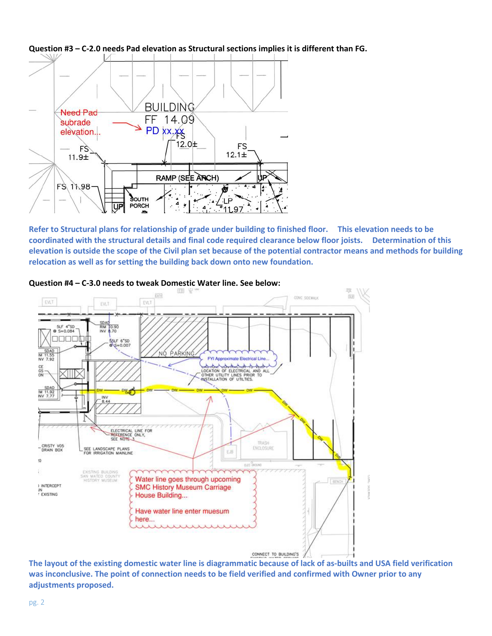

**Question #3 – C-2.0 needs Pad elevation as Structural sections implies it is different than FG.**

**Refer to Structural plans for relationship of grade under building to finished floor. This elevation needs to be coordinated with the structural details and final code required clearance below floor joists. Determination of this elevation is outside the scope of the Civil plan set because of the potential contractor means and methods for building relocation as well as for setting the building back down onto new foundation.** 



**Question #4 – C-3.0 needs to tweak Domestic Water line. See below:**

**The layout of the existing domestic water line is diagrammatic because of lack of as-builts and USA field verification was inconclusive. The point of connection needs to be field verified and confirmed with Owner prior to any adjustments proposed.**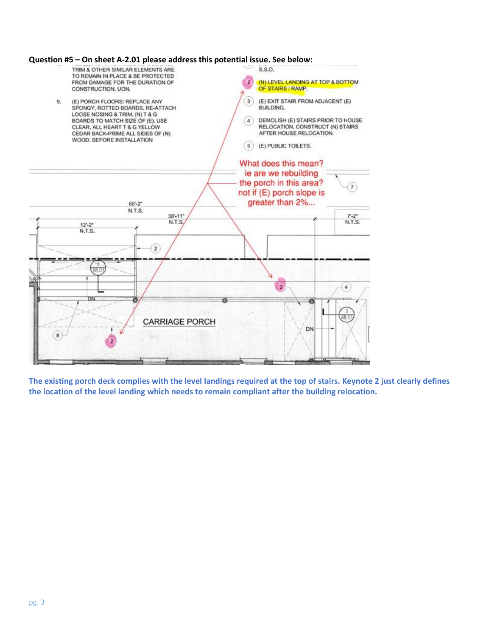

**The existing porch deck complies with the level landings required at the top of stairs. Keynote 2 just clearly defines the location of the level landing which needs to remain compliant after the building relocation.**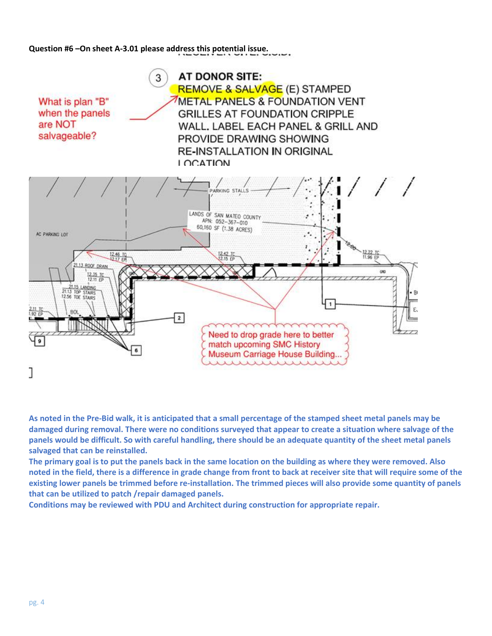**Question #6 –On sheet A-3.01 please address this potential issue.**



**As noted in the Pre-Bid walk, it is anticipated that a small percentage of the stamped sheet metal panels may be damaged during removal. There were no conditions surveyed that appear to create a situation where salvage of the panels would be difficult. So with careful handling, there should be an adequate quantity of the sheet metal panels salvaged that can be reinstalled.**

**The primary goal is to put the panels back in the same location on the building as where they were removed. Also noted in the field, there is a difference in grade change from front to back at receiver site that will require some of the existing lower panels be trimmed before re-installation. The trimmed pieces will also provide some quantity of panels that can be utilized to patch /repair damaged panels.**

**Conditions may be reviewed with PDU and Architect during construction for appropriate repair.**